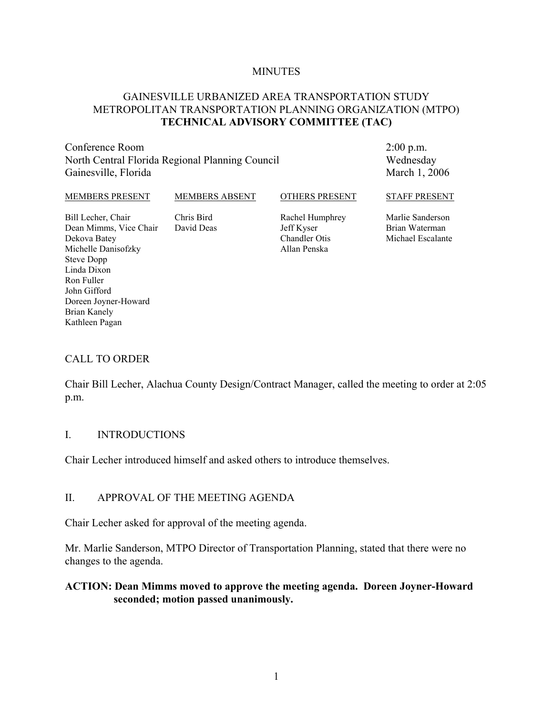#### **MINUTES**

## GAINESVILLE URBANIZED AREA TRANSPORTATION STUDY METROPOLITAN TRANSPORTATION PLANNING ORGANIZATION (MTPO) **TECHNICAL ADVISORY COMMITTEE (TAC)**

Conference Room North Central Florida Regional Planning Council Gainesville, Florida

2:00 p.m. Wednesday March 1, 2006

| <b>MEMBERS PRESENT</b>                                                              | <b>MEMBERS ABSENT</b>    | <b>OTHERS PRESENT</b>                                                 | <b>STAFF PRESENT</b>                                    |
|-------------------------------------------------------------------------------------|--------------------------|-----------------------------------------------------------------------|---------------------------------------------------------|
| Bill Lecher, Chair<br>Dean Mimms, Vice Chair<br>Dekova Batey<br>Michelle Danisofzky | Chris Bird<br>David Deas | Rachel Humphrey<br>Jeff Kyser<br><b>Chandler Otis</b><br>Allan Penska | Marlie Sanderson<br>Brian Waterman<br>Michael Escalante |
| Steve Dopp                                                                          |                          |                                                                       |                                                         |
| Linda Dixon<br>Ron Fuller                                                           |                          |                                                                       |                                                         |
| John Gifford                                                                        |                          |                                                                       |                                                         |

#### CALL TO ORDER

Doreen Joyner-Howard

Brian Kanely Kathleen Pagan

Chair Bill Lecher, Alachua County Design/Contract Manager, called the meeting to order at 2:05 p.m.

#### I. INTRODUCTIONS

Chair Lecher introduced himself and asked others to introduce themselves.

#### II. APPROVAL OF THE MEETING AGENDA

Chair Lecher asked for approval of the meeting agenda.

Mr. Marlie Sanderson, MTPO Director of Transportation Planning, stated that there were no changes to the agenda.

### **ACTION: Dean Mimms moved to approve the meeting agenda. Doreen Joyner-Howard seconded; motion passed unanimously.**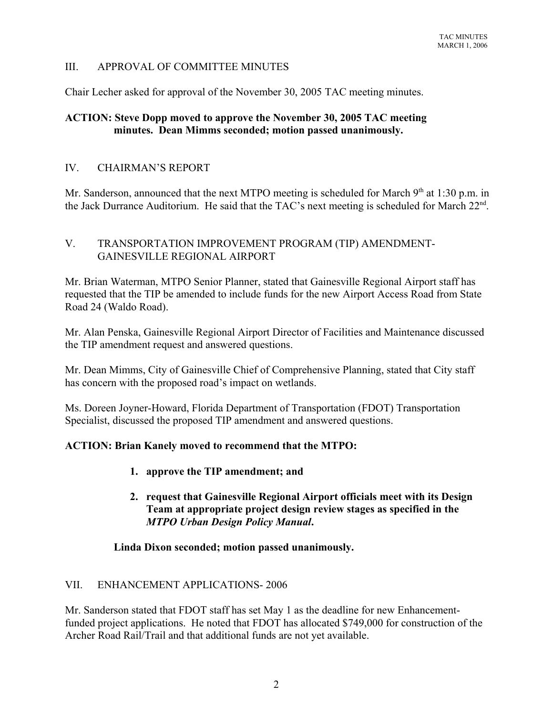# III. APPROVAL OF COMMITTEE MINUTES

Chair Lecher asked for approval of the November 30, 2005 TAC meeting minutes.

# **ACTION: Steve Dopp moved to approve the November 30, 2005 TAC meeting minutes. Dean Mimms seconded; motion passed unanimously.**

## IV. CHAIRMAN'S REPORT

Mr. Sanderson, announced that the next MTPO meeting is scheduled for March  $9<sup>th</sup>$  at 1:30 p.m. in the Jack Durrance Auditorium. He said that the TAC's next meeting is scheduled for March 22<sup>nd</sup>.

## V. TRANSPORTATION IMPROVEMENT PROGRAM (TIP) AMENDMENT-GAINESVILLE REGIONAL AIRPORT

Mr. Brian Waterman, MTPO Senior Planner, stated that Gainesville Regional Airport staff has requested that the TIP be amended to include funds for the new Airport Access Road from State Road 24 (Waldo Road).

Mr. Alan Penska, Gainesville Regional Airport Director of Facilities and Maintenance discussed the TIP amendment request and answered questions.

Mr. Dean Mimms, City of Gainesville Chief of Comprehensive Planning, stated that City staff has concern with the proposed road's impact on wetlands.

Ms. Doreen Joyner-Howard, Florida Department of Transportation (FDOT) Transportation Specialist, discussed the proposed TIP amendment and answered questions.

## **ACTION: Brian Kanely moved to recommend that the MTPO:**

- **1. approve the TIP amendment; and**
- **2. request that Gainesville Regional Airport officials meet with its Design Team at appropriate project design review stages as specified in the** *MTPO Urban Design Policy Manual***.**

#### **Linda Dixon seconded; motion passed unanimously.**

## VII. ENHANCEMENT APPLICATIONS- 2006

Mr. Sanderson stated that FDOT staff has set May 1 as the deadline for new Enhancementfunded project applications. He noted that FDOT has allocated \$749,000 for construction of the Archer Road Rail/Trail and that additional funds are not yet available.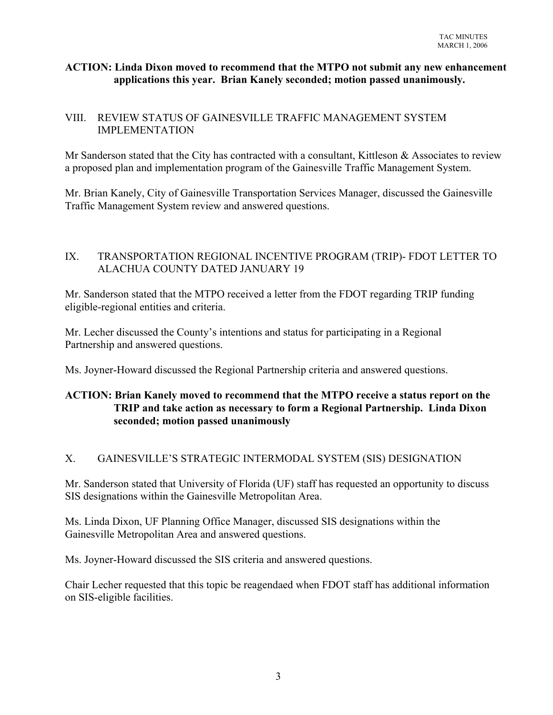## **ACTION: Linda Dixon moved to recommend that the MTPO not submit any new enhancement applications this year. Brian Kanely seconded; motion passed unanimously.**

## VIII. REVIEW STATUS OF GAINESVILLE TRAFFIC MANAGEMENT SYSTEM IMPLEMENTATION

Mr Sanderson stated that the City has contracted with a consultant, Kittleson & Associates to review a proposed plan and implementation program of the Gainesville Traffic Management System.

Mr. Brian Kanely, City of Gainesville Transportation Services Manager, discussed the Gainesville Traffic Management System review and answered questions.

# IX. TRANSPORTATION REGIONAL INCENTIVE PROGRAM (TRIP)- FDOT LETTER TO ALACHUA COUNTY DATED JANUARY 19

Mr. Sanderson stated that the MTPO received a letter from the FDOT regarding TRIP funding eligible-regional entities and criteria.

Mr. Lecher discussed the County's intentions and status for participating in a Regional Partnership and answered questions.

Ms. Joyner-Howard discussed the Regional Partnership criteria and answered questions.

# **ACTION: Brian Kanely moved to recommend that the MTPO receive a status report on the TRIP and take action as necessary to form a Regional Partnership. Linda Dixon seconded; motion passed unanimously**

# X. GAINESVILLE'S STRATEGIC INTERMODAL SYSTEM (SIS) DESIGNATION

Mr. Sanderson stated that University of Florida (UF) staff has requested an opportunity to discuss SIS designations within the Gainesville Metropolitan Area.

Ms. Linda Dixon, UF Planning Office Manager, discussed SIS designations within the Gainesville Metropolitan Area and answered questions.

Ms. Joyner-Howard discussed the SIS criteria and answered questions.

Chair Lecher requested that this topic be reagendaed when FDOT staff has additional information on SIS-eligible facilities.